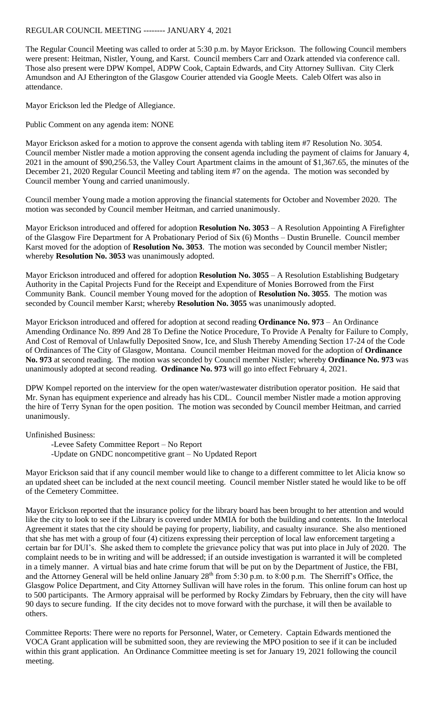## REGULAR COUNCIL MEETING -------- JANUARY 4, 2021

The Regular Council Meeting was called to order at 5:30 p.m. by Mayor Erickson. The following Council members were present: Heitman, Nistler, Young, and Karst. Council members Carr and Ozark attended via conference call. Those also present were DPW Kompel, ADPW Cook, Captain Edwards, and City Attorney Sullivan. City Clerk Amundson and AJ Etherington of the Glasgow Courier attended via Google Meets. Caleb Olfert was also in attendance.

Mayor Erickson led the Pledge of Allegiance.

Public Comment on any agenda item: NONE

Mayor Erickson asked for a motion to approve the consent agenda with tabling item #7 Resolution No. 3054. Council member Nistler made a motion approving the consent agenda including the payment of claims for January 4, 2021 in the amount of \$90,256.53, the Valley Court Apartment claims in the amount of \$1,367.65, the minutes of the December 21, 2020 Regular Council Meeting and tabling item #7 on the agenda. The motion was seconded by Council member Young and carried unanimously.

Council member Young made a motion approving the financial statements for October and November 2020. The motion was seconded by Council member Heitman, and carried unanimously.

Mayor Erickson introduced and offered for adoption **Resolution No. 3053** – A Resolution Appointing A Firefighter of the Glasgow Fire Department for A Probationary Period of Six (6) Months – Dustin Brunelle. Council member Karst moved for the adoption of **Resolution No. 3053**. The motion was seconded by Council member Nistler; whereby **Resolution No. 3053** was unanimously adopted.

Mayor Erickson introduced and offered for adoption **Resolution No. 3055** – A Resolution Establishing Budgetary Authority in the Capital Projects Fund for the Receipt and Expenditure of Monies Borrowed from the First Community Bank. Council member Young moved for the adoption of **Resolution No. 3055**. The motion was seconded by Council member Karst; whereby **Resolution No. 3055** was unanimously adopted.

Mayor Erickson introduced and offered for adoption at second reading **Ordinance No. 973** – An Ordinance Amending Ordinance No. 899 And 28 To Define the Notice Procedure, To Provide A Penalty for Failure to Comply, And Cost of Removal of Unlawfully Deposited Snow, Ice, and Slush Thereby Amending Section 17-24 of the Code of Ordinances of The City of Glasgow, Montana. Council member Heitman moved for the adoption of **Ordinance No. 973** at second reading. The motion was seconded by Council member Nistler; whereby **Ordinance No. 973** was unanimously adopted at second reading. **Ordinance No. 973** will go into effect February 4, 2021.

DPW Kompel reported on the interview for the open water/wastewater distribution operator position. He said that Mr. Synan has equipment experience and already has his CDL. Council member Nistler made a motion approving the hire of Terry Synan for the open position. The motion was seconded by Council member Heitman, and carried unanimously.

Unfinished Business:

-Levee Safety Committee Report – No Report -Update on GNDC noncompetitive grant – No Updated Report

Mayor Erickson said that if any council member would like to change to a different committee to let Alicia know so an updated sheet can be included at the next council meeting. Council member Nistler stated he would like to be off of the Cemetery Committee.

Mayor Erickson reported that the insurance policy for the library board has been brought to her attention and would like the city to look to see if the Library is covered under MMIA for both the building and contents. In the Interlocal Agreement it states that the city should be paying for property, liability, and casualty insurance. She also mentioned that she has met with a group of four (4) citizens expressing their perception of local law enforcement targeting a certain bar for DUI's. She asked them to complete the grievance policy that was put into place in July of 2020. The complaint needs to be in writing and will be addressed; if an outside investigation is warranted it will be completed in a timely manner. A virtual bias and hate crime forum that will be put on by the Department of Justice, the FBI, and the Attorney General will be held online January 28<sup>th</sup> from 5:30 p.m. to 8:00 p.m. The Sherriff's Office, the Glasgow Police Department, and City Attorney Sullivan will have roles in the forum. This online forum can host up to 500 participants. The Armory appraisal will be performed by Rocky Zimdars by February, then the city will have 90 days to secure funding. If the city decides not to move forward with the purchase, it will then be available to others.

Committee Reports: There were no reports for Personnel, Water, or Cemetery. Captain Edwards mentioned the VOCA Grant application will be submitted soon, they are reviewing the MPO position to see if it can be included within this grant application. An Ordinance Committee meeting is set for January 19, 2021 following the council meeting.